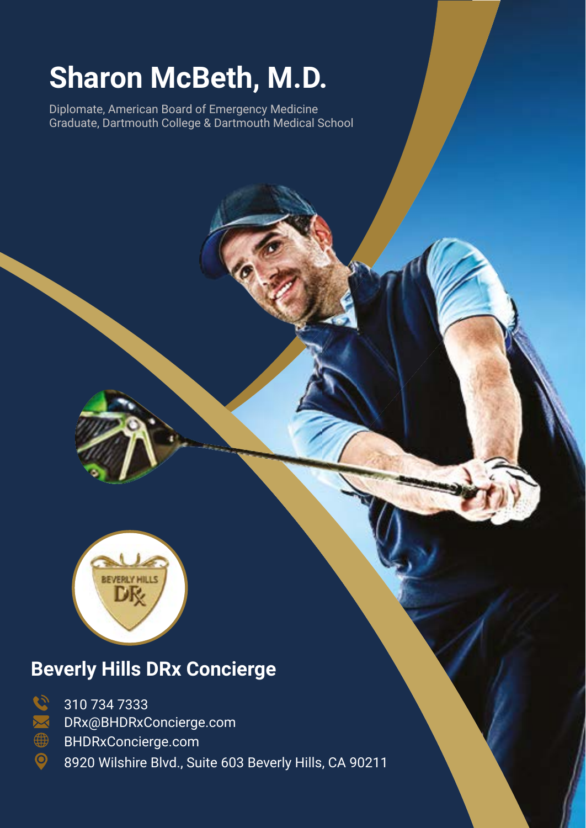## **Sharon McBeth, M.D.**

Diplomate, American Board of Emergency Medicine Graduate, Dartmouth College & Dartmouth Medical School



## **Beverly Hills DRx Concierge**



310 734 7333 DRx@BHDRxConcierge.com

BHDRxConcierge.com

8920 Wilshire Blvd., Suite 603 Beverly Hills, CA 90211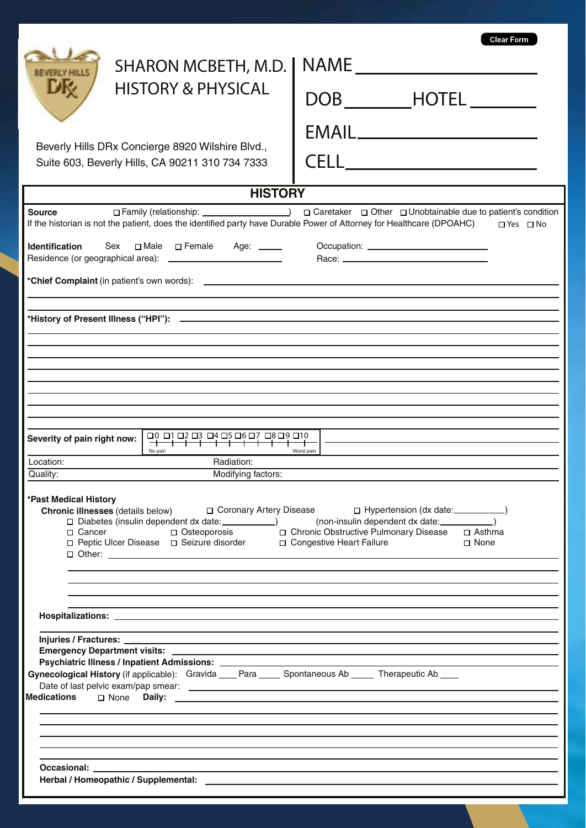| <b>SHARON MCBETH, M.D.</b><br><b>HISTORY &amp; PHYSICAL</b><br>Beverly Hills DRx Concierge 8920 Wilshire Blvd.,<br>Suite 603, Beverly Hills, CA 90211 310 734 7333                                                                                                                                                                                                                                    | Clear Form<br>NAME<br>DOB ________HOTEL ______<br>EMAIL________________________<br>CELL_________________________ |  |
|-------------------------------------------------------------------------------------------------------------------------------------------------------------------------------------------------------------------------------------------------------------------------------------------------------------------------------------------------------------------------------------------------------|------------------------------------------------------------------------------------------------------------------|--|
| <b>HISTORY</b>                                                                                                                                                                                                                                                                                                                                                                                        |                                                                                                                  |  |
| <b>Source</b><br>If the historian is not the patient, does the identified party have Durable Power of Attorney for Healthcare (DPOAHC)<br><b>Identification</b><br>Sex<br>□ Male □ Female<br>Age: _____                                                                                                                                                                                               | □ Family (relationship: ) □ Caretaker □ Other □ Unobtainable due to patient's condition<br>$\Box$ Yes $\Box$ No  |  |
| 10 פם 9ם 7ם 6ם 5ם 4ם 3ם 2ם 1ם 0ם<br>Severity of pain right now:                                                                                                                                                                                                                                                                                                                                       |                                                                                                                  |  |
| No pain<br>Radiation:<br>Location:                                                                                                                                                                                                                                                                                                                                                                    | Worst pain                                                                                                       |  |
| Modifying factors:<br>Quality:                                                                                                                                                                                                                                                                                                                                                                        |                                                                                                                  |  |
| *Past Medical History<br>Chronic illnesses (details below) $\Box$ Coronary Artery Disease $\Box$ Hypertension (dx date: _________)<br>□ Diabetes (insulin dependent dx date: ______________) (non-insulin dependent dx date: ____________)<br>□ Cancer □ Osteoporosis □ Chronic Obstructive Pulmonary Disease □ Asthma<br>□ Peptic Ulcer Disease □ Seizure disorder □ Congestive Heart Failure □ None |                                                                                                                  |  |
|                                                                                                                                                                                                                                                                                                                                                                                                       |                                                                                                                  |  |
| Psychiatric Illness / Inpatient Admissions: __________<br>Gynecological History (if applicable): Gravida ___ Para ____ Spontaneous Ab ____ Therapeutic Ab ___<br>Medications <sub>I</sub> None                                                                                                                                                                                                        |                                                                                                                  |  |
| Herbal / Homeopathic / Supplemental: Letter and the state of the state of the state of the state of the state of the state of the state of the state of the state of the state of the state of the state of the state of the s                                                                                                                                                                        |                                                                                                                  |  |